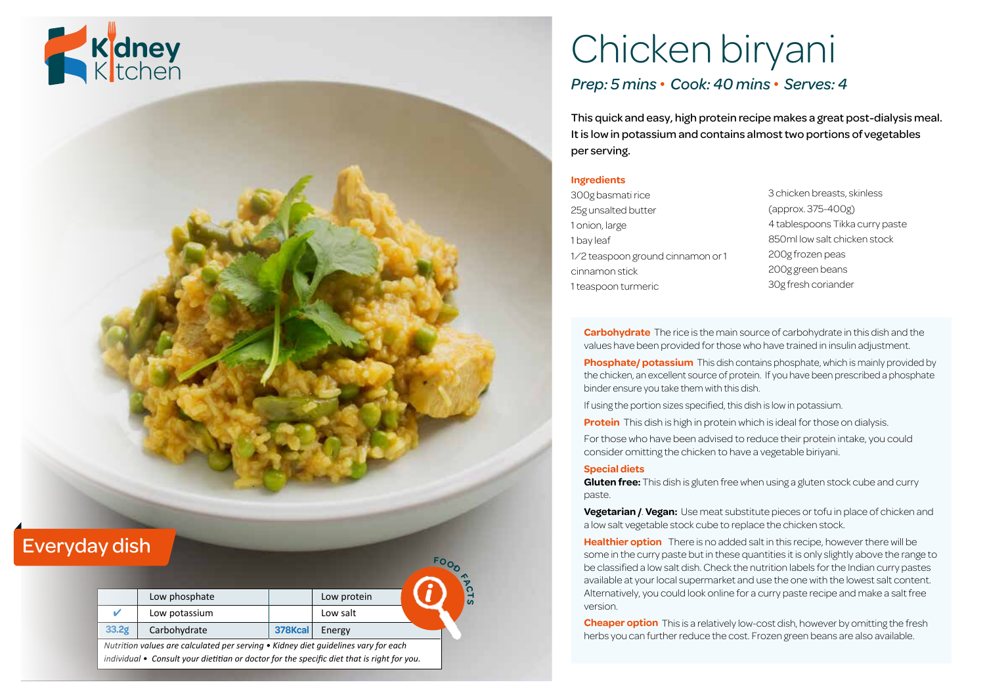

# Chicken biryani *Prep: 5 mins • Cook: 40 mins • Serves: 4*

This quick and easy, high protein recipe makes a great post-dialysis meal. It is low in potassium and contains almost two portions of vegetables per serving.

#### **Ingredients**

- 300g basmati rice 25g unsalted butter 1 onion, large 1 bay leaf ½ teaspoon ground cinnamon or 1 cinnamon stick 1 teaspoon turmeric
- 3 chicken breasts, skinless (approx. 375-400g) 4 tablespoons Tikka curry paste 850ml low salt chicken stock 200g frozen peas 200g green beans 30g fresh coriander

**Carbohydrate** The rice is the main source of carbohydrate in this dish and the values have been provided for those who have trained in insulin adjustment.

**Phosphate/ potassium** This dish contains phosphate, which is mainly provided by the chicken, an excellent source of protein. If you have been prescribed a phosphate binder ensure you take them with this dish.

If using the portion sizes specified, this dish is low in potassium.

**Protein** This dish is high in protein which is ideal for those on dialysis.

For those who have been advised to reduce their protein intake, you could consider omitting the chicken to have a vegetable biriyani.

#### **Special diets**

**Gluten free:** This dish is gluten free when using a gluten stock cube and curry paste.

**Vegetarian /**. **Vegan:** Use meat substitute pieces or tofu in place of chicken and a low salt vegetable stock cube to replace the chicken stock.

**Healthier option** There is no added salt in this recipe, however there will be some in the curry paste but in these quantities it is only slightly above the range to be classified a low salt dish. Check the nutrition labels for the Indian curry pastes available at your local supermarket and use the one with the lowest salt content. Alternatively, you could look online for a curry paste recipe and make a salt free version.

**Cheaper option** This is a relatively low-cost dish, however by omitting the fresh herbs you can further reduce the cost. Frozen green beans are also available.

### Everyday dish

|       |               |         |             | $\triangleleft$       |
|-------|---------------|---------|-------------|-----------------------|
|       | Low phosphate |         | Low protein | $\boldsymbol{\omega}$ |
|       | Low potassium |         | Low salt    |                       |
| 33.2g | Carbohydrate  | 378Kcal | Energy      |                       |

**<sup>F</sup>OO<sup>D</sup>**

*Nutrition values are calculated per serving • Kidney diet guidelines vary for each individual • Consult your dietitian or doctor for the specific diet that is right for you.*